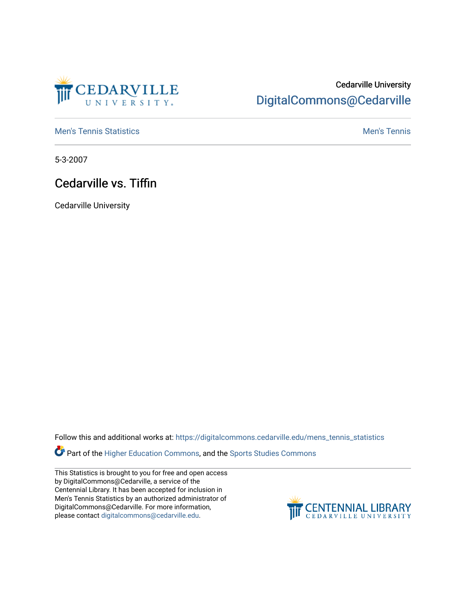

## Cedarville University [DigitalCommons@Cedarville](https://digitalcommons.cedarville.edu/)

**[Men's Tennis Statistics](https://digitalcommons.cedarville.edu/mens_tennis_statistics) Mental According to the Control of Control According Mental Men's Tennis** 

5-3-2007

## Cedarville vs. Tiffin

Cedarville University

Follow this and additional works at: [https://digitalcommons.cedarville.edu/mens\\_tennis\\_statistics](https://digitalcommons.cedarville.edu/mens_tennis_statistics?utm_source=digitalcommons.cedarville.edu%2Fmens_tennis_statistics%2F688&utm_medium=PDF&utm_campaign=PDFCoverPages)

Part of the [Higher Education Commons,](http://network.bepress.com/hgg/discipline/1245?utm_source=digitalcommons.cedarville.edu%2Fmens_tennis_statistics%2F688&utm_medium=PDF&utm_campaign=PDFCoverPages) and the [Sports Studies Commons](http://network.bepress.com/hgg/discipline/1198?utm_source=digitalcommons.cedarville.edu%2Fmens_tennis_statistics%2F688&utm_medium=PDF&utm_campaign=PDFCoverPages) 

This Statistics is brought to you for free and open access by DigitalCommons@Cedarville, a service of the Centennial Library. It has been accepted for inclusion in Men's Tennis Statistics by an authorized administrator of DigitalCommons@Cedarville. For more information, please contact [digitalcommons@cedarville.edu](mailto:digitalcommons@cedarville.edu).